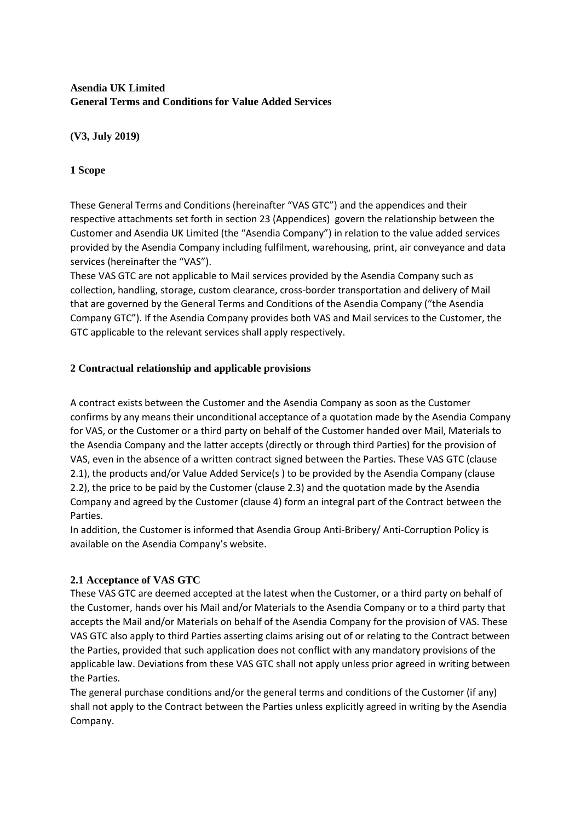# **Asendia UK Limited General Terms and Conditions for Value Added Services**

### **(V3, July 2019)**

# **1 Scope**

These General Terms and Conditions (hereinafter "VAS GTC") and the appendices and their respective attachments set forth in section 23 (Appendices) govern the relationship between the Customer and Asendia UK Limited (the "Asendia Company") in relation to the value added services provided by the Asendia Company including fulfilment, warehousing, print, air conveyance and data services (hereinafter the "VAS").

These VAS GTC are not applicable to Mail services provided by the Asendia Company such as collection, handling, storage, custom clearance, cross-border transportation and delivery of Mail that are governed by the General Terms and Conditions of the Asendia Company ("the Asendia Company GTC"). If the Asendia Company provides both VAS and Mail services to the Customer, the GTC applicable to the relevant services shall apply respectively.

# **2 Contractual relationship and applicable provisions**

A contract exists between the Customer and the Asendia Company as soon as the Customer confirms by any means their unconditional acceptance of a quotation made by the Asendia Company for VAS, or the Customer or a third party on behalf of the Customer handed over Mail, Materials to the Asendia Company and the latter accepts (directly or through third Parties) for the provision of VAS, even in the absence of a written contract signed between the Parties. These VAS GTC (clause 2.1), the products and/or Value Added Service(s ) to be provided by the Asendia Company (clause 2.2), the price to be paid by the Customer (clause 2.3) and the quotation made by the Asendia Company and agreed by the Customer (clause 4) form an integral part of the Contract between the Parties.

In addition, the Customer is informed that Asendia Group Anti-Bribery/ Anti-Corruption Policy is available on the Asendia Company's website.

# **2.1 Acceptance of VAS GTC**

These VAS GTC are deemed accepted at the latest when the Customer, or a third party on behalf of the Customer, hands over his Mail and/or Materials to the Asendia Company or to a third party that accepts the Mail and/or Materials on behalf of the Asendia Company for the provision of VAS. These VAS GTC also apply to third Parties asserting claims arising out of or relating to the Contract between the Parties, provided that such application does not conflict with any mandatory provisions of the applicable law. Deviations from these VAS GTC shall not apply unless prior agreed in writing between the Parties.

The general purchase conditions and/or the general terms and conditions of the Customer (if any) shall not apply to the Contract between the Parties unless explicitly agreed in writing by the Asendia Company.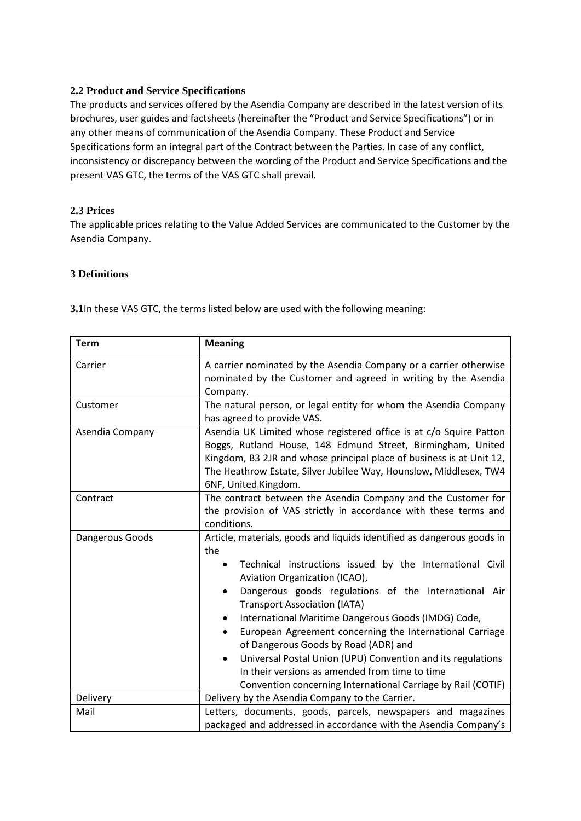#### **2.2 Product and Service Specifications**

The products and services offered by the Asendia Company are described in the latest version of its brochures, user guides and factsheets (hereinafter the "Product and Service Specifications") or in any other means of communication of the Asendia Company. These Product and Service Specifications form an integral part of the Contract between the Parties. In case of any conflict, inconsistency or discrepancy between the wording of the Product and Service Specifications and the present VAS GTC, the terms of the VAS GTC shall prevail.

#### **2.3 Prices**

The applicable prices relating to the Value Added Services are communicated to the Customer by the Asendia Company.

#### **3 Definitions**

|  |  | 3.1In these VAS GTC, the terms listed below are used with the following meaning: |
|--|--|----------------------------------------------------------------------------------|
|--|--|----------------------------------------------------------------------------------|

| <b>Term</b>     | <b>Meaning</b>                                                                                                                                                                                                                                                                                                                                                                                                                                                                                                                                                                                                                                                                 |  |
|-----------------|--------------------------------------------------------------------------------------------------------------------------------------------------------------------------------------------------------------------------------------------------------------------------------------------------------------------------------------------------------------------------------------------------------------------------------------------------------------------------------------------------------------------------------------------------------------------------------------------------------------------------------------------------------------------------------|--|
| Carrier         | A carrier nominated by the Asendia Company or a carrier otherwise<br>nominated by the Customer and agreed in writing by the Asendia<br>Company.                                                                                                                                                                                                                                                                                                                                                                                                                                                                                                                                |  |
| Customer        | The natural person, or legal entity for whom the Asendia Company<br>has agreed to provide VAS.                                                                                                                                                                                                                                                                                                                                                                                                                                                                                                                                                                                 |  |
| Asendia Company | Asendia UK Limited whose registered office is at c/o Squire Patton<br>Boggs, Rutland House, 148 Edmund Street, Birmingham, United<br>Kingdom, B3 2JR and whose principal place of business is at Unit 12,<br>The Heathrow Estate, Silver Jubilee Way, Hounslow, Middlesex, TW4<br>6NF, United Kingdom.                                                                                                                                                                                                                                                                                                                                                                         |  |
| Contract        | The contract between the Asendia Company and the Customer for<br>the provision of VAS strictly in accordance with these terms and<br>conditions.                                                                                                                                                                                                                                                                                                                                                                                                                                                                                                                               |  |
| Dangerous Goods | Article, materials, goods and liquids identified as dangerous goods in<br>the<br>Technical instructions issued by the International Civil<br>$\bullet$<br>Aviation Organization (ICAO),<br>Dangerous goods regulations of the International Air<br>$\bullet$<br><b>Transport Association (IATA)</b><br>International Maritime Dangerous Goods (IMDG) Code,<br>٠<br>European Agreement concerning the International Carriage<br>$\bullet$<br>of Dangerous Goods by Road (ADR) and<br>Universal Postal Union (UPU) Convention and its regulations<br>$\bullet$<br>In their versions as amended from time to time<br>Convention concerning International Carriage by Rail (COTIF) |  |
| Delivery        | Delivery by the Asendia Company to the Carrier.                                                                                                                                                                                                                                                                                                                                                                                                                                                                                                                                                                                                                                |  |
| Mail            | Letters, documents, goods, parcels, newspapers and magazines<br>packaged and addressed in accordance with the Asendia Company's                                                                                                                                                                                                                                                                                                                                                                                                                                                                                                                                                |  |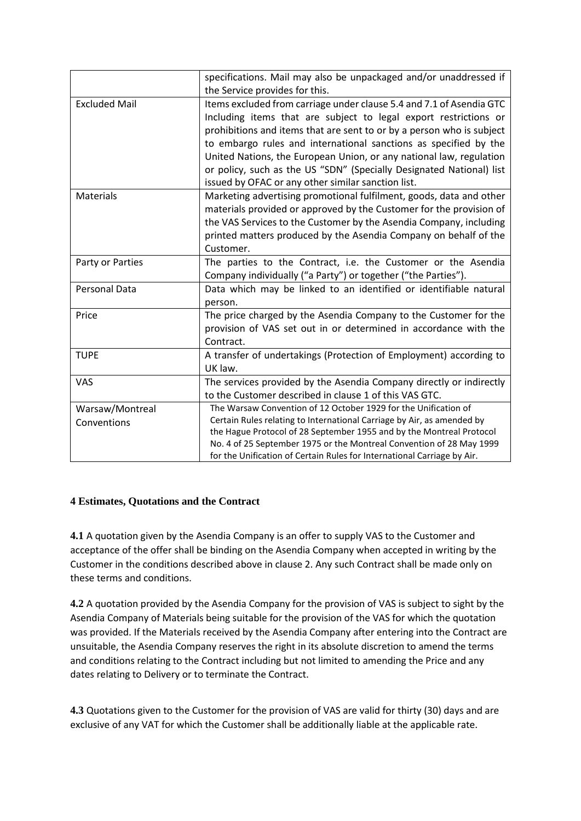|                      | specifications. Mail may also be unpackaged and/or unaddressed if       |  |
|----------------------|-------------------------------------------------------------------------|--|
|                      | the Service provides for this.                                          |  |
| <b>Excluded Mail</b> | Items excluded from carriage under clause 5.4 and 7.1 of Asendia GTC    |  |
|                      | Including items that are subject to legal export restrictions or        |  |
|                      | prohibitions and items that are sent to or by a person who is subject   |  |
|                      | to embargo rules and international sanctions as specified by the        |  |
|                      | United Nations, the European Union, or any national law, regulation     |  |
|                      | or policy, such as the US "SDN" (Specially Designated National) list    |  |
|                      | issued by OFAC or any other similar sanction list.                      |  |
| <b>Materials</b>     | Marketing advertising promotional fulfilment, goods, data and other     |  |
|                      | materials provided or approved by the Customer for the provision of     |  |
|                      | the VAS Services to the Customer by the Asendia Company, including      |  |
|                      | printed matters produced by the Asendia Company on behalf of the        |  |
|                      | Customer.                                                               |  |
| Party or Parties     | The parties to the Contract, i.e. the Customer or the Asendia           |  |
|                      | Company individually ("a Party") or together ("the Parties").           |  |
| <b>Personal Data</b> | Data which may be linked to an identified or identifiable natural       |  |
|                      | person.                                                                 |  |
| Price                | The price charged by the Asendia Company to the Customer for the        |  |
|                      | provision of VAS set out in or determined in accordance with the        |  |
|                      | Contract.                                                               |  |
| <b>TUPE</b>          | A transfer of undertakings (Protection of Employment) according to      |  |
|                      | UK law.                                                                 |  |
| <b>VAS</b>           | The services provided by the Asendia Company directly or indirectly     |  |
|                      | to the Customer described in clause 1 of this VAS GTC.                  |  |
| Warsaw/Montreal      | The Warsaw Convention of 12 October 1929 for the Unification of         |  |
| Conventions          | Certain Rules relating to International Carriage by Air, as amended by  |  |
|                      | the Hague Protocol of 28 September 1955 and by the Montreal Protocol    |  |
|                      | No. 4 of 25 September 1975 or the Montreal Convention of 28 May 1999    |  |
|                      | for the Unification of Certain Rules for International Carriage by Air. |  |

### **4 Estimates, Quotations and the Contract**

**4.1** A quotation given by the Asendia Company is an offer to supply VAS to the Customer and acceptance of the offer shall be binding on the Asendia Company when accepted in writing by the Customer in the conditions described above in clause 2. Any such Contract shall be made only on these terms and conditions.

**4.2** A quotation provided by the Asendia Company for the provision of VAS is subject to sight by the Asendia Company of Materials being suitable for the provision of the VAS for which the quotation was provided. If the Materials received by the Asendia Company after entering into the Contract are unsuitable, the Asendia Company reserves the right in its absolute discretion to amend the terms and conditions relating to the Contract including but not limited to amending the Price and any dates relating to Delivery or to terminate the Contract.

**4.3** Quotations given to the Customer for the provision of VAS are valid for thirty (30) days and are exclusive of any VAT for which the Customer shall be additionally liable at the applicable rate.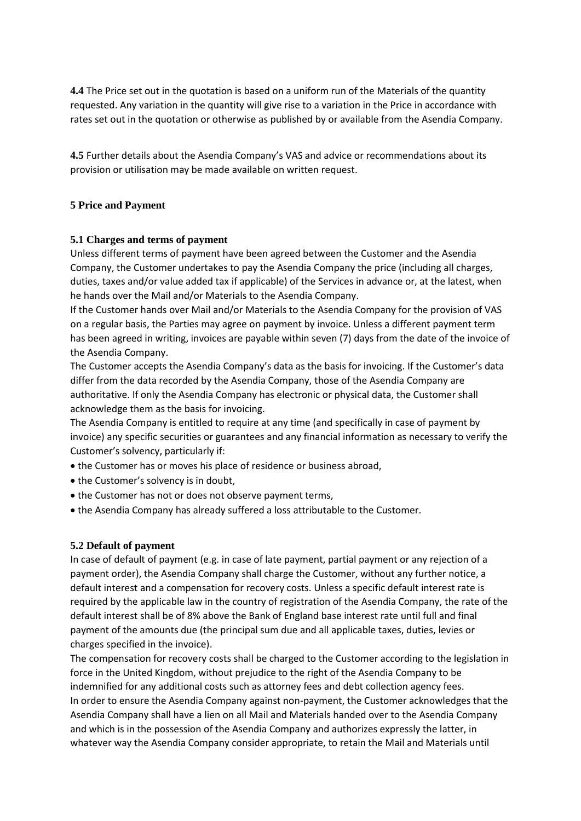**4.4** The Price set out in the quotation is based on a uniform run of the Materials of the quantity requested. Any variation in the quantity will give rise to a variation in the Price in accordance with rates set out in the quotation or otherwise as published by or available from the Asendia Company.

**4.5** Further details about the Asendia Company's VAS and advice or recommendations about its provision or utilisation may be made available on written request.

### **5 Price and Payment**

#### **5.1 Charges and terms of payment**

Unless different terms of payment have been agreed between the Customer and the Asendia Company, the Customer undertakes to pay the Asendia Company the price (including all charges, duties, taxes and/or value added tax if applicable) of the Services in advance or, at the latest, when he hands over the Mail and/or Materials to the Asendia Company.

If the Customer hands over Mail and/or Materials to the Asendia Company for the provision of VAS on a regular basis, the Parties may agree on payment by invoice. Unless a different payment term has been agreed in writing, invoices are payable within seven (7) days from the date of the invoice of the Asendia Company.

The Customer accepts the Asendia Company's data as the basis for invoicing. If the Customer's data differ from the data recorded by the Asendia Company, those of the Asendia Company are authoritative. If only the Asendia Company has electronic or physical data, the Customer shall acknowledge them as the basis for invoicing.

The Asendia Company is entitled to require at any time (and specifically in case of payment by invoice) any specific securities or guarantees and any financial information as necessary to verify the Customer's solvency, particularly if:

- the Customer has or moves his place of residence or business abroad,
- the Customer's solvency is in doubt,
- the Customer has not or does not observe payment terms,
- the Asendia Company has already suffered a loss attributable to the Customer.

#### **5.2 Default of payment**

In case of default of payment (e.g. in case of late payment, partial payment or any rejection of a payment order), the Asendia Company shall charge the Customer, without any further notice, a default interest and a compensation for recovery costs. Unless a specific default interest rate is required by the applicable law in the country of registration of the Asendia Company, the rate of the default interest shall be of 8% above the Bank of England base interest rate until full and final payment of the amounts due (the principal sum due and all applicable taxes, duties, levies or charges specified in the invoice).

The compensation for recovery costs shall be charged to the Customer according to the legislation in force in the United Kingdom, without prejudice to the right of the Asendia Company to be indemnified for any additional costs such as attorney fees and debt collection agency fees. In order to ensure the Asendia Company against non-payment, the Customer acknowledges that the Asendia Company shall have a lien on all Mail and Materials handed over to the Asendia Company and which is in the possession of the Asendia Company and authorizes expressly the latter, in whatever way the Asendia Company consider appropriate, to retain the Mail and Materials until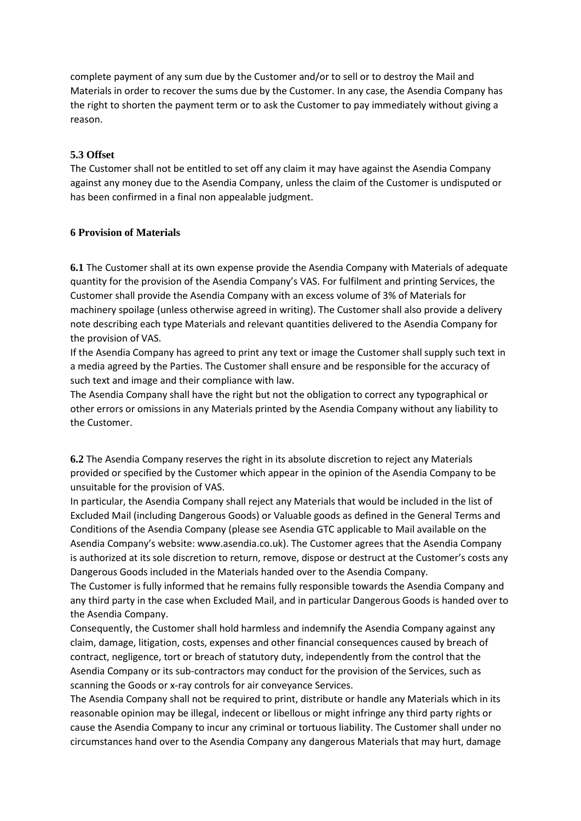complete payment of any sum due by the Customer and/or to sell or to destroy the Mail and Materials in order to recover the sums due by the Customer. In any case, the Asendia Company has the right to shorten the payment term or to ask the Customer to pay immediately without giving a reason.

#### **5.3 Offset**

The Customer shall not be entitled to set off any claim it may have against the Asendia Company against any money due to the Asendia Company, unless the claim of the Customer is undisputed or has been confirmed in a final non appealable judgment.

#### **6 Provision of Materials**

**6.1** The Customer shall at its own expense provide the Asendia Company with Materials of adequate quantity for the provision of the Asendia Company's VAS. For fulfilment and printing Services, the Customer shall provide the Asendia Company with an excess volume of 3% of Materials for machinery spoilage (unless otherwise agreed in writing). The Customer shall also provide a delivery note describing each type Materials and relevant quantities delivered to the Asendia Company for the provision of VAS.

If the Asendia Company has agreed to print any text or image the Customer shall supply such text in a media agreed by the Parties. The Customer shall ensure and be responsible for the accuracy of such text and image and their compliance with law.

The Asendia Company shall have the right but not the obligation to correct any typographical or other errors or omissions in any Materials printed by the Asendia Company without any liability to the Customer.

**6.2** The Asendia Company reserves the right in its absolute discretion to reject any Materials provided or specified by the Customer which appear in the opinion of the Asendia Company to be unsuitable for the provision of VAS.

In particular, the Asendia Company shall reject any Materials that would be included in the list of Excluded Mail (including Dangerous Goods) or Valuable goods as defined in the General Terms and Conditions of the Asendia Company (please see Asendia GTC applicable to Mail available on the Asendia Company's website: www.asendia.co.uk). The Customer agrees that the Asendia Company is authorized at its sole discretion to return, remove, dispose or destruct at the Customer's costs any Dangerous Goods included in the Materials handed over to the Asendia Company.

The Customer is fully informed that he remains fully responsible towards the Asendia Company and any third party in the case when Excluded Mail, and in particular Dangerous Goods is handed over to the Asendia Company.

Consequently, the Customer shall hold harmless and indemnify the Asendia Company against any claim, damage, litigation, costs, expenses and other financial consequences caused by breach of contract, negligence, tort or breach of statutory duty, independently from the control that the Asendia Company or its sub-contractors may conduct for the provision of the Services, such as scanning the Goods or x-ray controls for air conveyance Services.

The Asendia Company shall not be required to print, distribute or handle any Materials which in its reasonable opinion may be illegal, indecent or libellous or might infringe any third party rights or cause the Asendia Company to incur any criminal or tortuous liability. The Customer shall under no circumstances hand over to the Asendia Company any dangerous Materials that may hurt, damage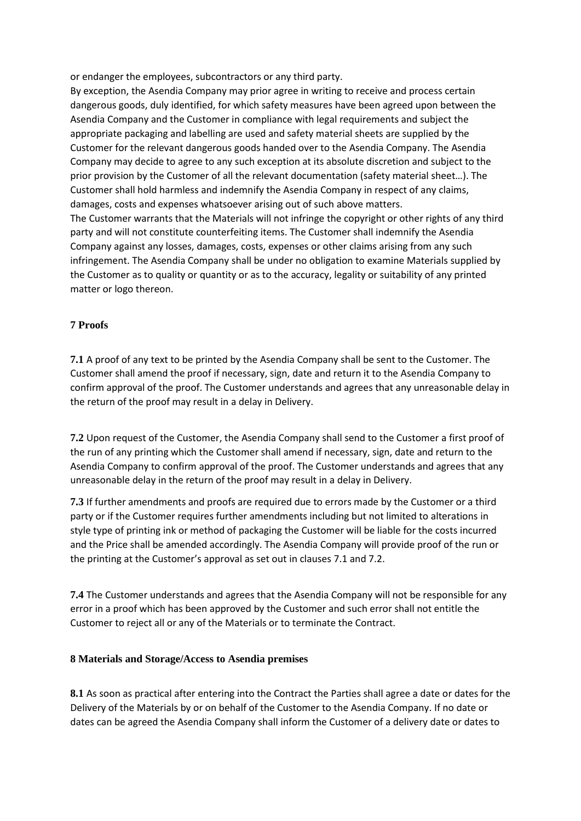or endanger the employees, subcontractors or any third party.

By exception, the Asendia Company may prior agree in writing to receive and process certain dangerous goods, duly identified, for which safety measures have been agreed upon between the Asendia Company and the Customer in compliance with legal requirements and subject the appropriate packaging and labelling are used and safety material sheets are supplied by the Customer for the relevant dangerous goods handed over to the Asendia Company. The Asendia Company may decide to agree to any such exception at its absolute discretion and subject to the prior provision by the Customer of all the relevant documentation (safety material sheet…). The Customer shall hold harmless and indemnify the Asendia Company in respect of any claims, damages, costs and expenses whatsoever arising out of such above matters. The Customer warrants that the Materials will not infringe the copyright or other rights of any third party and will not constitute counterfeiting items. The Customer shall indemnify the Asendia Company against any losses, damages, costs, expenses or other claims arising from any such infringement. The Asendia Company shall be under no obligation to examine Materials supplied by the Customer as to quality or quantity or as to the accuracy, legality or suitability of any printed matter or logo thereon.

### **7 Proofs**

**7.1** A proof of any text to be printed by the Asendia Company shall be sent to the Customer. The Customer shall amend the proof if necessary, sign, date and return it to the Asendia Company to confirm approval of the proof. The Customer understands and agrees that any unreasonable delay in the return of the proof may result in a delay in Delivery.

**7.2** Upon request of the Customer, the Asendia Company shall send to the Customer a first proof of the run of any printing which the Customer shall amend if necessary, sign, date and return to the Asendia Company to confirm approval of the proof. The Customer understands and agrees that any unreasonable delay in the return of the proof may result in a delay in Delivery.

**7.3** If further amendments and proofs are required due to errors made by the Customer or a third party or if the Customer requires further amendments including but not limited to alterations in style type of printing ink or method of packaging the Customer will be liable for the costs incurred and the Price shall be amended accordingly. The Asendia Company will provide proof of the run or the printing at the Customer's approval as set out in clauses 7.1 and 7.2.

**7.4** The Customer understands and agrees that the Asendia Company will not be responsible for any error in a proof which has been approved by the Customer and such error shall not entitle the Customer to reject all or any of the Materials or to terminate the Contract.

### **8 Materials and Storage/Access to Asendia premises**

**8.1** As soon as practical after entering into the Contract the Parties shall agree a date or dates for the Delivery of the Materials by or on behalf of the Customer to the Asendia Company. If no date or dates can be agreed the Asendia Company shall inform the Customer of a delivery date or dates to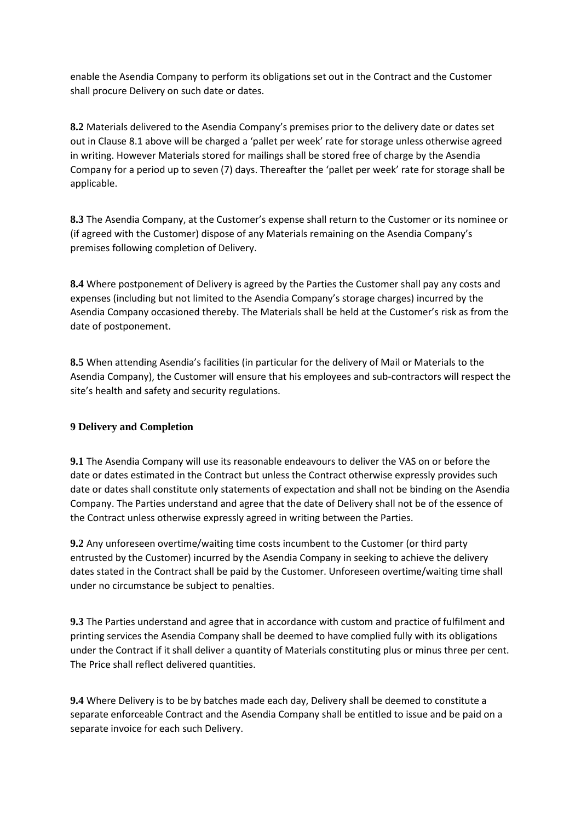enable the Asendia Company to perform its obligations set out in the Contract and the Customer shall procure Delivery on such date or dates.

**8.2** Materials delivered to the Asendia Company's premises prior to the delivery date or dates set out in Clause 8.1 above will be charged a 'pallet per week' rate for storage unless otherwise agreed in writing. However Materials stored for mailings shall be stored free of charge by the Asendia Company for a period up to seven (7) days. Thereafter the 'pallet per week' rate for storage shall be applicable.

**8.3** The Asendia Company, at the Customer's expense shall return to the Customer or its nominee or (if agreed with the Customer) dispose of any Materials remaining on the Asendia Company's premises following completion of Delivery.

**8.4** Where postponement of Delivery is agreed by the Parties the Customer shall pay any costs and expenses (including but not limited to the Asendia Company's storage charges) incurred by the Asendia Company occasioned thereby. The Materials shall be held at the Customer's risk as from the date of postponement.

**8.5** When attending Asendia's facilities (in particular for the delivery of Mail or Materials to the Asendia Company), the Customer will ensure that his employees and sub-contractors will respect the site's health and safety and security regulations.

### **9 Delivery and Completion**

**9.1** The Asendia Company will use its reasonable endeavours to deliver the VAS on or before the date or dates estimated in the Contract but unless the Contract otherwise expressly provides such date or dates shall constitute only statements of expectation and shall not be binding on the Asendia Company. The Parties understand and agree that the date of Delivery shall not be of the essence of the Contract unless otherwise expressly agreed in writing between the Parties.

**9.2** Any unforeseen overtime/waiting time costs incumbent to the Customer (or third party entrusted by the Customer) incurred by the Asendia Company in seeking to achieve the delivery dates stated in the Contract shall be paid by the Customer. Unforeseen overtime/waiting time shall under no circumstance be subject to penalties.

**9.3** The Parties understand and agree that in accordance with custom and practice of fulfilment and printing services the Asendia Company shall be deemed to have complied fully with its obligations under the Contract if it shall deliver a quantity of Materials constituting plus or minus three per cent. The Price shall reflect delivered quantities.

**9.4** Where Delivery is to be by batches made each day, Delivery shall be deemed to constitute a separate enforceable Contract and the Asendia Company shall be entitled to issue and be paid on a separate invoice for each such Delivery.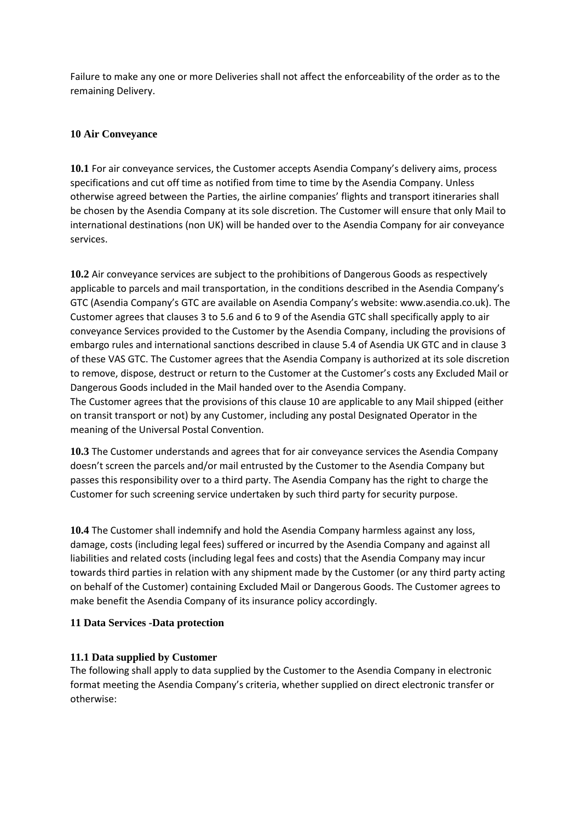Failure to make any one or more Deliveries shall not affect the enforceability of the order as to the remaining Delivery.

### **10 Air Conveyance**

**10.1** For air conveyance services, the Customer accepts Asendia Company's delivery aims, process specifications and cut off time as notified from time to time by the Asendia Company. Unless otherwise agreed between the Parties, the airline companies' flights and transport itineraries shall be chosen by the Asendia Company at its sole discretion. The Customer will ensure that only Mail to international destinations (non UK) will be handed over to the Asendia Company for air conveyance services.

**10.2** Air conveyance services are subject to the prohibitions of Dangerous Goods as respectively applicable to parcels and mail transportation, in the conditions described in the Asendia Company's GTC (Asendia Company's GTC are available on Asendia Company's website: www.asendia.co.uk). The Customer agrees that clauses 3 to 5.6 and 6 to 9 of the Asendia GTC shall specifically apply to air conveyance Services provided to the Customer by the Asendia Company, including the provisions of embargo rules and international sanctions described in clause 5.4 of Asendia UK GTC and in clause 3 of these VAS GTC. The Customer agrees that the Asendia Company is authorized at its sole discretion to remove, dispose, destruct or return to the Customer at the Customer's costs any Excluded Mail or Dangerous Goods included in the Mail handed over to the Asendia Company. The Customer agrees that the provisions of this clause 10 are applicable to any Mail shipped (either on transit transport or not) by any Customer, including any postal Designated Operator in the meaning of the Universal Postal Convention.

**10.3** The Customer understands and agrees that for air conveyance services the Asendia Company doesn't screen the parcels and/or mail entrusted by the Customer to the Asendia Company but passes this responsibility over to a third party. The Asendia Company has the right to charge the Customer for such screening service undertaken by such third party for security purpose.

**10.4** The Customer shall indemnify and hold the Asendia Company harmless against any loss, damage, costs (including legal fees) suffered or incurred by the Asendia Company and against all liabilities and related costs (including legal fees and costs) that the Asendia Company may incur towards third parties in relation with any shipment made by the Customer (or any third party acting on behalf of the Customer) containing Excluded Mail or Dangerous Goods. The Customer agrees to make benefit the Asendia Company of its insurance policy accordingly.

### **11 Data Services -Data protection**

### **11.1 Data supplied by Customer**

The following shall apply to data supplied by the Customer to the Asendia Company in electronic format meeting the Asendia Company's criteria, whether supplied on direct electronic transfer or otherwise: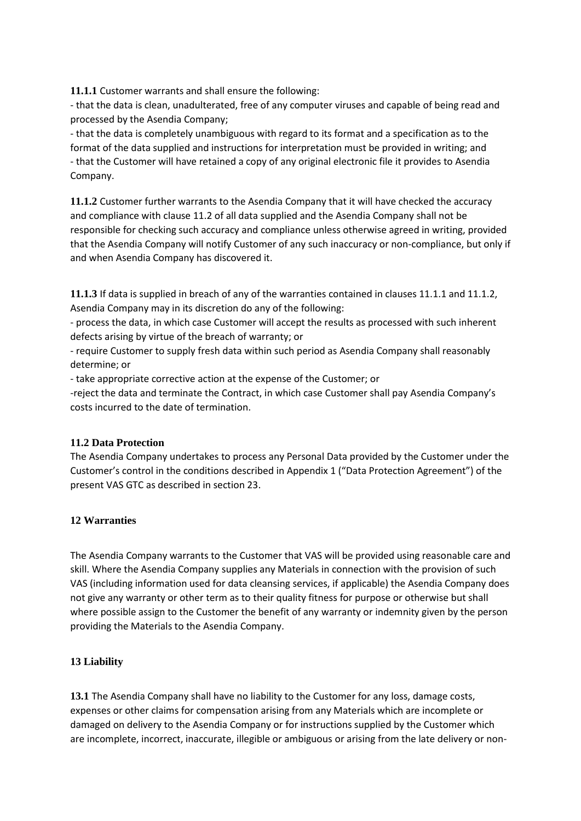**11.1.1** Customer warrants and shall ensure the following:

- that the data is clean, unadulterated, free of any computer viruses and capable of being read and processed by the Asendia Company;

- that the data is completely unambiguous with regard to its format and a specification as to the format of the data supplied and instructions for interpretation must be provided in writing; and - that the Customer will have retained a copy of any original electronic file it provides to Asendia Company.

**11.1.2** Customer further warrants to the Asendia Company that it will have checked the accuracy and compliance with clause 11.2 of all data supplied and the Asendia Company shall not be responsible for checking such accuracy and compliance unless otherwise agreed in writing, provided that the Asendia Company will notify Customer of any such inaccuracy or non-compliance, but only if and when Asendia Company has discovered it.

**11.1.3** If data is supplied in breach of any of the warranties contained in clauses 11.1.1 and 11.1.2, Asendia Company may in its discretion do any of the following:

- process the data, in which case Customer will accept the results as processed with such inherent defects arising by virtue of the breach of warranty; or

- require Customer to supply fresh data within such period as Asendia Company shall reasonably determine; or

- take appropriate corrective action at the expense of the Customer; or

-reject the data and terminate the Contract, in which case Customer shall pay Asendia Company's costs incurred to the date of termination.

### **11.2 Data Protection**

The Asendia Company undertakes to process any Personal Data provided by the Customer under the Customer's control in the conditions described in Appendix 1 ("Data Protection Agreement") of the present VAS GTC as described in section 23.

# **12 Warranties**

The Asendia Company warrants to the Customer that VAS will be provided using reasonable care and skill. Where the Asendia Company supplies any Materials in connection with the provision of such VAS (including information used for data cleansing services, if applicable) the Asendia Company does not give any warranty or other term as to their quality fitness for purpose or otherwise but shall where possible assign to the Customer the benefit of any warranty or indemnity given by the person providing the Materials to the Asendia Company.

# **13 Liability**

**13.1** The Asendia Company shall have no liability to the Customer for any loss, damage costs, expenses or other claims for compensation arising from any Materials which are incomplete or damaged on delivery to the Asendia Company or for instructions supplied by the Customer which are incomplete, incorrect, inaccurate, illegible or ambiguous or arising from the late delivery or non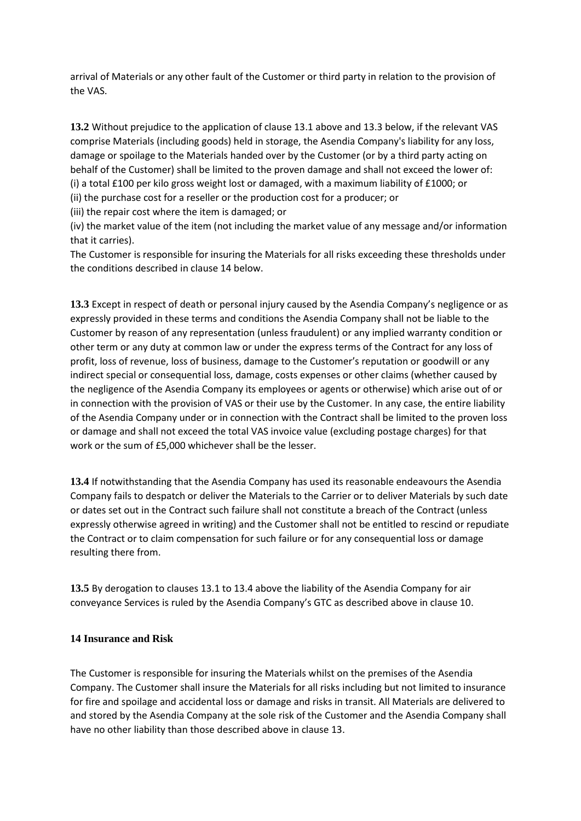arrival of Materials or any other fault of the Customer or third party in relation to the provision of the VAS.

**13.2** Without prejudice to the application of clause 13.1 above and 13.3 below, if the relevant VAS comprise Materials (including goods) held in storage, the Asendia Company's liability for any loss, damage or spoilage to the Materials handed over by the Customer (or by a third party acting on behalf of the Customer) shall be limited to the proven damage and shall not exceed the lower of: (i) a total £100 per kilo gross weight lost or damaged, with a maximum liability of £1000; or (ii) the purchase cost for a reseller or the production cost for a producer; or

(iii) the repair cost where the item is damaged; or

(iv) the market value of the item (not including the market value of any message and/or information that it carries).

The Customer is responsible for insuring the Materials for all risks exceeding these thresholds under the conditions described in clause 14 below.

**13.3** Except in respect of death or personal injury caused by the Asendia Company's negligence or as expressly provided in these terms and conditions the Asendia Company shall not be liable to the Customer by reason of any representation (unless fraudulent) or any implied warranty condition or other term or any duty at common law or under the express terms of the Contract for any loss of profit, loss of revenue, loss of business, damage to the Customer's reputation or goodwill or any indirect special or consequential loss, damage, costs expenses or other claims (whether caused by the negligence of the Asendia Company its employees or agents or otherwise) which arise out of or in connection with the provision of VAS or their use by the Customer. In any case, the entire liability of the Asendia Company under or in connection with the Contract shall be limited to the proven loss or damage and shall not exceed the total VAS invoice value (excluding postage charges) for that work or the sum of £5,000 whichever shall be the lesser.

**13.4** If notwithstanding that the Asendia Company has used its reasonable endeavours the Asendia Company fails to despatch or deliver the Materials to the Carrier or to deliver Materials by such date or dates set out in the Contract such failure shall not constitute a breach of the Contract (unless expressly otherwise agreed in writing) and the Customer shall not be entitled to rescind or repudiate the Contract or to claim compensation for such failure or for any consequential loss or damage resulting there from.

**13.5** By derogation to clauses 13.1 to 13.4 above the liability of the Asendia Company for air conveyance Services is ruled by the Asendia Company's GTC as described above in clause 10.

#### **14 Insurance and Risk**

The Customer is responsible for insuring the Materials whilst on the premises of the Asendia Company. The Customer shall insure the Materials for all risks including but not limited to insurance for fire and spoilage and accidental loss or damage and risks in transit. All Materials are delivered to and stored by the Asendia Company at the sole risk of the Customer and the Asendia Company shall have no other liability than those described above in clause 13.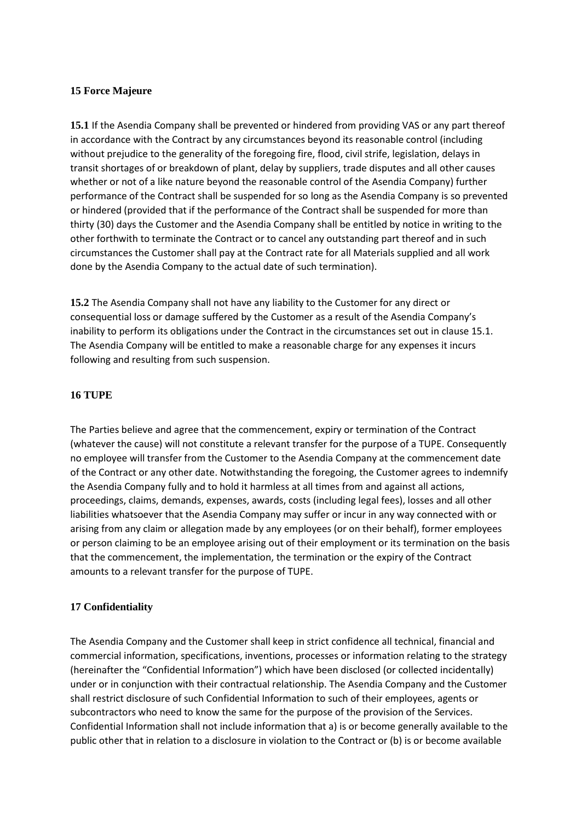#### **15 Force Majeure**

**15.1** If the Asendia Company shall be prevented or hindered from providing VAS or any part thereof in accordance with the Contract by any circumstances beyond its reasonable control (including without prejudice to the generality of the foregoing fire, flood, civil strife, legislation, delays in transit shortages of or breakdown of plant, delay by suppliers, trade disputes and all other causes whether or not of a like nature beyond the reasonable control of the Asendia Company) further performance of the Contract shall be suspended for so long as the Asendia Company is so prevented or hindered (provided that if the performance of the Contract shall be suspended for more than thirty (30) days the Customer and the Asendia Company shall be entitled by notice in writing to the other forthwith to terminate the Contract or to cancel any outstanding part thereof and in such circumstances the Customer shall pay at the Contract rate for all Materials supplied and all work done by the Asendia Company to the actual date of such termination).

**15.2** The Asendia Company shall not have any liability to the Customer for any direct or consequential loss or damage suffered by the Customer as a result of the Asendia Company's inability to perform its obligations under the Contract in the circumstances set out in clause 15.1. The Asendia Company will be entitled to make a reasonable charge for any expenses it incurs following and resulting from such suspension.

#### **16 TUPE**

The Parties believe and agree that the commencement, expiry or termination of the Contract (whatever the cause) will not constitute a relevant transfer for the purpose of a TUPE. Consequently no employee will transfer from the Customer to the Asendia Company at the commencement date of the Contract or any other date. Notwithstanding the foregoing, the Customer agrees to indemnify the Asendia Company fully and to hold it harmless at all times from and against all actions, proceedings, claims, demands, expenses, awards, costs (including legal fees), losses and all other liabilities whatsoever that the Asendia Company may suffer or incur in any way connected with or arising from any claim or allegation made by any employees (or on their behalf), former employees or person claiming to be an employee arising out of their employment or its termination on the basis that the commencement, the implementation, the termination or the expiry of the Contract amounts to a relevant transfer for the purpose of TUPE.

### **17 Confidentiality**

The Asendia Company and the Customer shall keep in strict confidence all technical, financial and commercial information, specifications, inventions, processes or information relating to the strategy (hereinafter the "Confidential Information") which have been disclosed (or collected incidentally) under or in conjunction with their contractual relationship. The Asendia Company and the Customer shall restrict disclosure of such Confidential Information to such of their employees, agents or subcontractors who need to know the same for the purpose of the provision of the Services. Confidential Information shall not include information that a) is or become generally available to the public other that in relation to a disclosure in violation to the Contract or (b) is or become available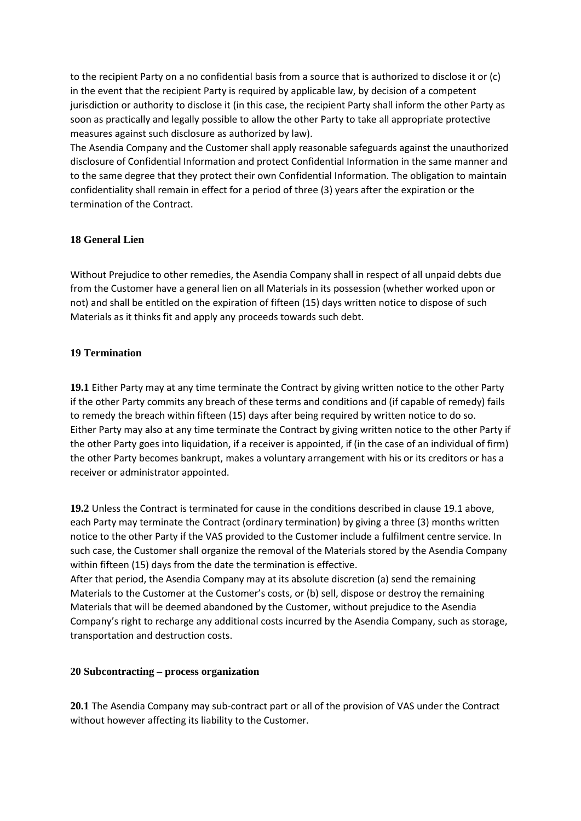to the recipient Party on a no confidential basis from a source that is authorized to disclose it or (c) in the event that the recipient Party is required by applicable law, by decision of a competent jurisdiction or authority to disclose it (in this case, the recipient Party shall inform the other Party as soon as practically and legally possible to allow the other Party to take all appropriate protective measures against such disclosure as authorized by law).

The Asendia Company and the Customer shall apply reasonable safeguards against the unauthorized disclosure of Confidential Information and protect Confidential Information in the same manner and to the same degree that they protect their own Confidential Information. The obligation to maintain confidentiality shall remain in effect for a period of three (3) years after the expiration or the termination of the Contract.

### **18 General Lien**

Without Prejudice to other remedies, the Asendia Company shall in respect of all unpaid debts due from the Customer have a general lien on all Materials in its possession (whether worked upon or not) and shall be entitled on the expiration of fifteen (15) days written notice to dispose of such Materials as it thinks fit and apply any proceeds towards such debt.

# **19 Termination**

**19.1** Either Party may at any time terminate the Contract by giving written notice to the other Party if the other Party commits any breach of these terms and conditions and (if capable of remedy) fails to remedy the breach within fifteen (15) days after being required by written notice to do so. Either Party may also at any time terminate the Contract by giving written notice to the other Party if the other Party goes into liquidation, if a receiver is appointed, if (in the case of an individual of firm) the other Party becomes bankrupt, makes a voluntary arrangement with his or its creditors or has a receiver or administrator appointed.

**19.2** Unless the Contract is terminated for cause in the conditions described in clause 19.1 above, each Party may terminate the Contract (ordinary termination) by giving a three (3) months written notice to the other Party if the VAS provided to the Customer include a fulfilment centre service. In such case, the Customer shall organize the removal of the Materials stored by the Asendia Company within fifteen (15) days from the date the termination is effective.

After that period, the Asendia Company may at its absolute discretion (a) send the remaining Materials to the Customer at the Customer's costs, or (b) sell, dispose or destroy the remaining Materials that will be deemed abandoned by the Customer, without prejudice to the Asendia Company's right to recharge any additional costs incurred by the Asendia Company, such as storage, transportation and destruction costs.

### **20 Subcontracting – process organization**

**20.1** The Asendia Company may sub-contract part or all of the provision of VAS under the Contract without however affecting its liability to the Customer.